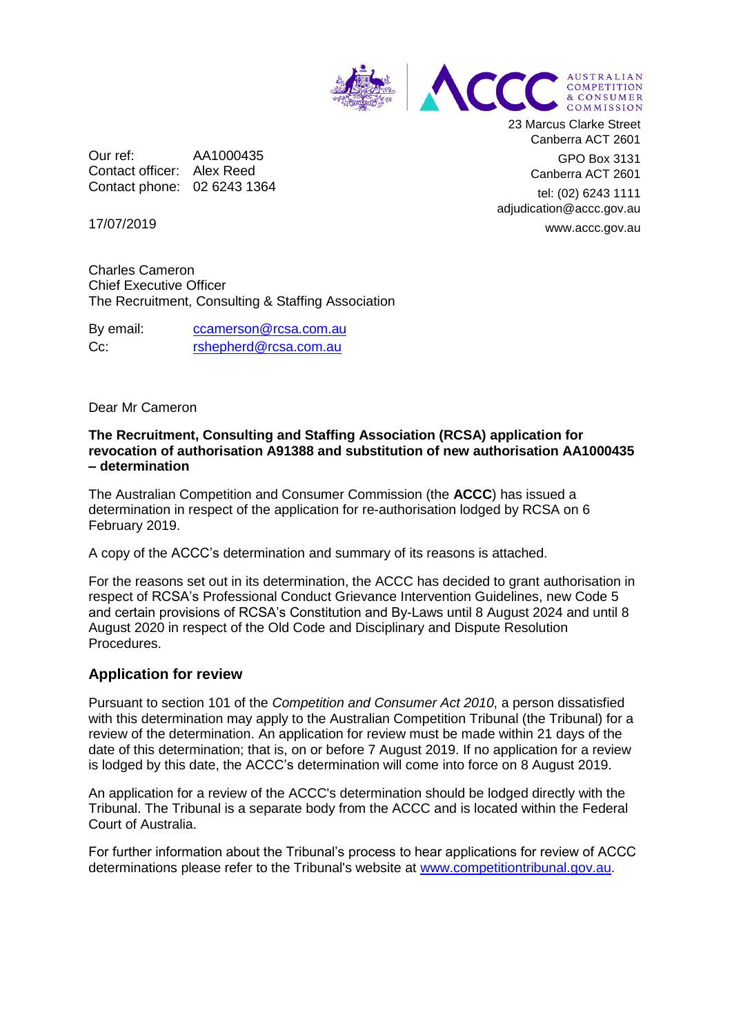

Our ref: AA1000435 Contact officer: Alex Reed Contact phone: 02 6243 1364 23 Marcus Clarke Street Canberra ACT 2601

> GPO Box 3131 Canberra ACT 2601

tel: (02) 6243 1111 adjudication@accc.gov.au www.accc.gov.au

17/07/2019

Charles Cameron Chief Executive Officer The Recruitment, Consulting & Staffing Association

By email: [ccamerson@rcsa.com.au](mailto:ccamerson@rcsa.com.au) Cc: [rshepherd@rcsa.com.au](mailto:rshepherd@rcsa.com.au)

## Dear Mr Cameron

## **The Recruitment, Consulting and Staffing Association (RCSA) application for revocation of authorisation A91388 and substitution of new authorisation AA1000435 – determination**

The Australian Competition and Consumer Commission (the **ACCC**) has issued a determination in respect of the application for re-authorisation lodged by RCSA on 6 February 2019.

A copy of the ACCC's determination and summary of its reasons is attached.

For the reasons set out in its determination, the ACCC has decided to grant authorisation in respect of RCSA's Professional Conduct Grievance Intervention Guidelines, new Code 5 and certain provisions of RCSA's Constitution and By-Laws until 8 August 2024 and until 8 August 2020 in respect of the Old Code and Disciplinary and Dispute Resolution Procedures.

## **Application for review**

Pursuant to section 101 of the *Competition and Consumer Act 2010*, a person dissatisfied with this determination may apply to the Australian Competition Tribunal (the Tribunal) for a review of the determination. An application for review must be made within 21 days of the date of this determination; that is, on or before 7 August 2019. If no application for a review is lodged by this date, the ACCC's determination will come into force on 8 August 2019.

An application for a review of the ACCC's determination should be lodged directly with the Tribunal. The Tribunal is a separate body from the ACCC and is located within the Federal Court of Australia.

For further information about the Tribunal's process to hear applications for review of ACCC determinations please refer to the Tribunal's website at [www.competitiontribunal.gov.au.](http://www.competitiontribunal.gov.au/)